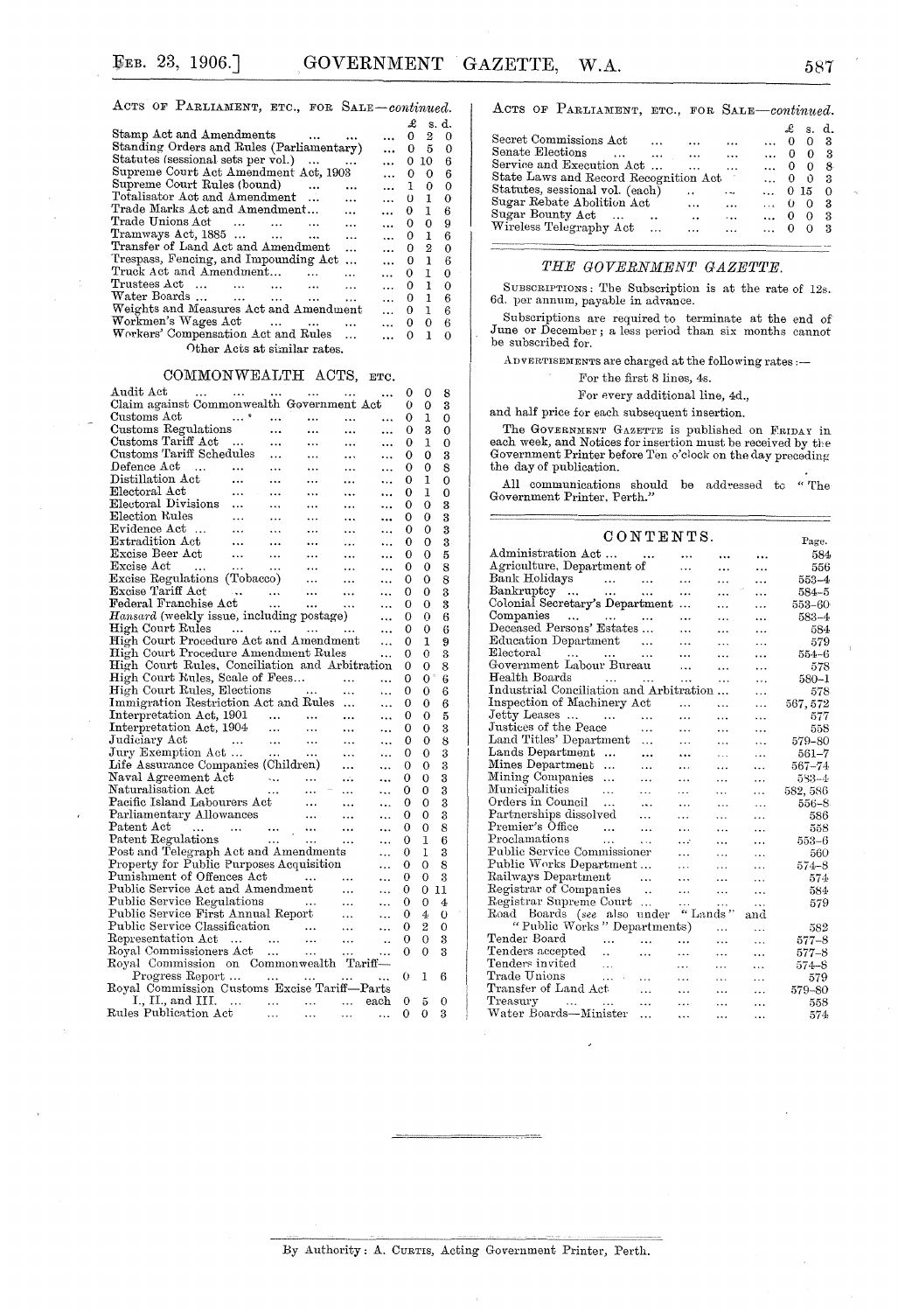ACTS OF PARLIAMENT, ETC., FOR SALE-continued.

|                                                              |                | £              | s. d. |   |
|--------------------------------------------------------------|----------------|----------------|-------|---|
| Stamp Act and Amendments                                     |                | 0              | 2     | 0 |
| Standing Orders and Rules (Parliamentary)                    | $\ddotsc$      | 0.             | 5.    | 0 |
| Statutes (sessional sets per vol.)                           | $\mathbf{a}$   | 0.             | 10    | 6 |
| Supreme Court Act Amendment Act, 1903                        | $\overline{a}$ | 0              | 0     | 6 |
| Supreme Court Rules (bound)                                  | $\mathbf{r}$   | $\mathbf{1}$   | 0     | 0 |
| Totalisator Act and Amendment<br>$\ddot{\phantom{a}}$        | $\mathbf{r}$   | 0 <sub>1</sub> |       | 0 |
| Trade Marks Act and Amendment                                | $\cdots$       | 0 <sub>1</sub> |       | 6 |
| Trade Unions Act<br>$\sim$ $\sim$ $\sim$<br>$\ddotsc$        | $\cdots$       | 0.             | 0     | 9 |
| $\text{Transways Act, } 1885 \dots \dots \dots$<br>$\ddotsc$ | $\mathbf{r}$   | 0.             | T     | 6 |
| Transfer of Land Act and Amendment<br>$\ddotsc$              | aaan n         | 0              | 2     | 0 |
| Trespass, Fencing, and Impounding Act<br>$\ddotsc$           | $\cdots$       | 0.             | 1     | 6 |
| Truck Act and Amendment<br>$\ddotsc$                         | $\cdots$       | 0.             | 1.    | 0 |
| Trustees Act<br>and the second company of the<br>$\ddotsc$   | $\cdots$       | 0.             | ı     | O |
| Water Boards<br>$\ddotsc$                                    | aaan.          | 0.             | 1     | В |
| Weights and Measures Act and Amendment                       | $\cdots$       | 0.             | 1     | 6 |
| Workmen's Wages Act<br>$\cdots$                              | $\cdots$       | 0.             | 0     | 6 |
| Workers' Compensation Act and Rules                          |                | o              | 1     | 0 |
| Other Acts at similar rates.                                 |                |                |       |   |

### COMMONWEALTH ACTS, ETC.

| Audit Act<br>the company of the company of the company of                                                                                                                                                     |                |                      |           |           |           | O        | 0              | 8              |
|---------------------------------------------------------------------------------------------------------------------------------------------------------------------------------------------------------------|----------------|----------------------|-----------|-----------|-----------|----------|----------------|----------------|
| Claim against Commonwealth Government Act                                                                                                                                                                     |                |                      |           |           |           | 0        | 0              | 3              |
| Customs Act                                                                                                                                                                                                   | $\sim$ $^{-2}$ | $\frac{1}{2}$        | $\ddotsc$ | $\ddotsc$ | .         | 0        | 1              | O              |
| Customs Regulations                                                                                                                                                                                           |                |                      | $\ddotsc$ |           | $\ddotsc$ | 0        | 3              | $\overline{0}$ |
| Customs Tariff Act<br>Customs Tariff Schedules                                                                                                                                                                |                |                      |           |           |           | 0        | 1              | 0              |
|                                                                                                                                                                                                               |                |                      |           | $\cdots$  |           | 0        | 0              | 3              |
|                                                                                                                                                                                                               |                | $\cdots$             | $\ddotsc$ | $\cdots$  |           | 0        | 0              | 8              |
| Defence Act<br>Distillation Act                                                                                                                                                                               |                | $\sim$ $\sim$ $\sim$ | $\cdots$  | $\cdots$  |           | 0        | 1              | o              |
|                                                                                                                                                                                                               |                |                      | $\cdots$  | $\cdots$  |           | 0        | 1              | 0              |
| Electoral Act<br>Electoral Divisions                                                                                                                                                                          |                |                      | $\cdots$  | $\ldots$  |           | 0        | 0              | 3              |
|                                                                                                                                                                                                               |                | $\cdots$             | $\cdots$  |           | $\ddotsc$ | 0        | 0              | 3              |
| mection Kules<br>Evidence Act<br>Extradition 1                                                                                                                                                                |                | $\cdots$             | $\cdots$  | $\ldots$  |           | 0        | 0              | 3              |
|                                                                                                                                                                                                               |                |                      | $\ldots$  | $\ldots$  | $\ddotsc$ | 0        | 0              | 3              |
| $\begin{tabular}{ll} \bf{Extradition \; Act} & \dots & \dots \\ \bf{Excise \; Beer \; Act} & \dots & \dots \\ \end{tabular}$                                                                                  |                |                      | $\cdots$  | $\ddotsc$ | $\ddotsc$ | 0        | 0              | 5              |
|                                                                                                                                                                                                               |                |                      |           |           | .         | 0        | 0              | 8              |
|                                                                                                                                                                                                               |                |                      |           |           | $\ddotsc$ | O        | 0              | 8              |
|                                                                                                                                                                                                               |                |                      |           |           |           | 0        | 0              |                |
|                                                                                                                                                                                                               |                |                      |           |           |           |          |                | 3<br>3         |
|                                                                                                                                                                                                               |                |                      |           |           | .         | 0        | 0              |                |
| Hansard (weekly issue, including postage)                                                                                                                                                                     |                |                      |           |           | .         | 0        | 0              | 6              |
| High Court Rules<br>High Court Procedure Act and Amendment                                                                                                                                                    |                |                      |           |           |           | 0        | 0              | 6              |
|                                                                                                                                                                                                               |                |                      |           |           | .         | 0        | 1              | 9              |
| High Court Procedure Amendment Rules                                                                                                                                                                          |                |                      |           |           | .         | 0        | 0              | 3              |
| High Court Rules, Conciliation and Arbitration                                                                                                                                                                |                |                      |           |           |           | 0        | 0              | 8              |
| High Court Rules, Scale of Fees<br>High Court Rules, Elections                                                                                                                                                |                |                      |           |           |           | 0        | 0              | 6              |
|                                                                                                                                                                                                               |                |                      |           |           |           | 0        | 0              | 6              |
| Immigration Restriction Act and Rules                                                                                                                                                                         |                |                      |           |           | $\ddotsc$ | 0        | 0              | 6              |
| Interpretation Act, 1901<br>Interpretation Act, 1904                                                                                                                                                          |                |                      |           |           |           | 0        | 0              | 5              |
|                                                                                                                                                                                                               |                |                      |           |           |           | 0        | 0              | 3              |
| Judiciary Act<br>Judiciary Act<br>Jury Exemption Act                                                                                                                                                          |                |                      |           |           |           | 0        | $\Omega$       | 8              |
|                                                                                                                                                                                                               |                |                      |           |           |           | 0        | 0              | 3              |
|                                                                                                                                                                                                               |                |                      |           |           | $\ddotsc$ | 0        | 0              | 3              |
| Maval Agreement Act<br>Maval Agreement Act<br>Maval Agreement Act<br>Maturalisation Act<br>Pacific Island Labourers Act<br>Parliamentary Allowances<br>Patent Act<br>Patent Regulations<br>Patent Regulations |                |                      |           |           | $\ddotsc$ | о        | 0              | 3              |
|                                                                                                                                                                                                               |                |                      |           |           | $\ddotsc$ | 0        | 0              | 3              |
|                                                                                                                                                                                                               |                |                      |           |           | $\ddotsc$ | 0        | 0              | 3              |
|                                                                                                                                                                                                               |                |                      |           |           | .         | 0        | 0              | 3              |
|                                                                                                                                                                                                               |                |                      |           |           |           | 0        | $\mathbf 0$    | 8              |
|                                                                                                                                                                                                               |                |                      |           |           |           | 0        | 1              | 6              |
|                                                                                                                                                                                                               |                |                      |           |           |           | 0        | 1              | 3              |
| Post and Telegraph Act and Amendments<br>Property for Public Purposes Acquisition                                                                                                                             |                |                      |           |           |           | 0        | $\Omega$       | 8              |
| Punishment of Offences Act                                                                                                                                                                                    |                |                      |           |           |           | 0        | 0              | 3              |
| Funnshment of Offences Act<br>Public Service Act and Amendment<br>Public Service P                                                                                                                            |                |                      |           |           | .         | 0        | 0              | 11             |
|                                                                                                                                                                                                               |                |                      |           |           |           | 0        | 0              | $\overline{4}$ |
| Public Service Regulations<br>Public Service First Annual Report                                                                                                                                              |                |                      |           |           | $\ddotsc$ | 0        | $\overline{4}$ |                |
|                                                                                                                                                                                                               |                |                      |           |           | $\ddotsc$ |          |                | $\overline{O}$ |
|                                                                                                                                                                                                               |                |                      |           |           |           | 0        | $\overline{2}$ | 0              |
|                                                                                                                                                                                                               |                |                      |           |           |           | 0        | 0              | 3              |
|                                                                                                                                                                                                               |                |                      |           |           |           | $\Omega$ | $\Omega$       | 3              |
| Public Service Classification<br>Representation Act<br>Royal Commissioners Act<br>Royal Commission on Commonwealth Tariff—                                                                                    |                |                      |           |           |           |          |                |                |
| Progress Report<br>Royal Commission Customs Excise Tariff—Parts                                                                                                                                               |                |                      |           |           |           | 0        | 1              | 6              |
|                                                                                                                                                                                                               |                |                      |           |           |           |          |                |                |
| I., II., and III.     each<br>Rules Publication Act                                                                                                                                                           |                |                      |           |           |           | 0        | 5              | 0              |
|                                                                                                                                                                                                               |                |                      |           |           |           | 0        | 0              | 3              |

ACTS OF PARLIAMENT, ETC., FOR SALE-continued.  $\begin{array}{ccc} \pounds & s. & d. \\ 0 & 0 & 3 \end{array}$ Secret Commissions Act

| Senate Elections<br>$\cdots$          | <b>Contract Contract</b> | $\cdots$             | $\cdots$  | $\cdots$      |              | $\theta$ | - 3 |
|---------------------------------------|--------------------------|----------------------|-----------|---------------|--------------|----------|-----|
| Service and Execution Act             |                          |                      | $\ddotsc$ | $\mathbf{r}$  | $\mathbf{0}$ | - 0      | - 8 |
| State Laws and Record Recognition Act |                          |                      |           | $\cdots$      | - 0          | - 0      | - 3 |
| Statutes, sessional vol. (each)       |                          | $\ddot{\phantom{1}}$ |           | $\ldots$ 0 15 |              |          | - 0 |
| Sugar Rebate Abolition Act            |                          | $\cdots$             | $\ddotsc$ | $\ldots$ 0 0  |              |          | - 3 |
| Sugar Bounty Act                      | $\ddot{\phantom{a}}$     | $\ddot{\phantom{0}}$ | $\ddotsc$ | $\ldots$ 0 0  |              |          | - 3 |
| Wireless Telegraphy Act               |                          |                      | $\cdots$  | $\ldots$ 0 0  |              |          | - 3 |
|                                       |                          |                      |           |               |              |          |     |

#### THE GOVERNMENT GAZETTE.

SUBSCRIPTIONS: The Subscription is at the rate of 12s. 6d. per annum, payable in advance.

Subscriptions are required to terminate at the end of June or December; a less period than six months cannot be subscribed for.

ADVERTISEMENTS are charged at the following rates :-

For the first 8 lines, 4s.

For every additional line, 4d.,

and half price for each subsequent insertion.

The GOVERNMENT GAZETTE is published on FRIDAY in each week, and Notices for insertion must be received by the Government Printer before Ten o'clock on the day preceding the day of publication.

All communications should be addressed to "The Government Printer, Perth."  $\,$ 

| CONTENTS.                                    |            |                      |                      |                           |              |
|----------------------------------------------|------------|----------------------|----------------------|---------------------------|--------------|
| Administration Act                           |            |                      |                      |                           | Page.<br>584 |
| Agriculture, Department of                   |            | .                    | $\ddot{\phantom{a}}$ | .                         | 556          |
| Bank Holidays<br>$\sim$ $\sim$               |            | .                    | .                    | .                         | $553 - 4$    |
| Bankruptcy<br><b>Section Contract</b>        | $\ddotsc$  | $\ddotsc$            | .                    | .                         | 584–5        |
| Colonial Secretary's Department              |            | .                    |                      |                           | 553-60       |
| Companies<br>فتتراه المتداري المتدار         |            | $\ddotsc$            | .<br>.               | .<br>$\ddot{\phantom{a}}$ | $583 - 4$    |
| Deceased Persons' Estates                    |            | .                    |                      |                           | 584          |
| <b>Education Department</b>                  | $\ddotsc$  |                      | .                    | $\ddotsc$                 | 579          |
| $\rm{Electoral}$<br><b>Contract Contract</b> | $\ddotsc$  |                      | $\ddotsc$            | .                         | 554–6        |
| Government Labour Bureau                     |            | $\ddot{\phantom{a}}$ |                      |                           | 578          |
| Health Boards<br>$\cdots$                    | $\dddotsc$ | $\cdots$             | $\cdots$             | $\ddotsc$                 | 580–1        |
| Industrial Conciliation and Arbitration      |            |                      | $\ddotsc$            | .                         | 578          |
| Inspection of Machinery Act                  |            | $\cdots$             |                      | $\ddotsc$                 | 567, 572     |
| Jetty Leases                                 | $\cdots$   | $\cdots$             | .                    | $\ddotsc$                 | 577          |
| Justices of the Peace                        |            | .                    | .<br>$\ddotsc$       | .                         | 558          |
| Land Titles' Department                      | .          |                      |                      | .                         | 579-80       |
| Lands Department<br>$\ddotsc$                |            | .                    | .                    | .                         | $561 - 7$    |
| Mines Department                             |            |                      |                      | .                         |              |
| $\ddotsc$<br>Mining Companies                | .          |                      | .                    | .                         | 567-74       |
| Municipalities<br>$\dddotsc$                 | .          |                      | $\cdots$             | .                         | 583-4        |
| Orders in Council                            | .          |                      | .                    | .                         | 582, 586     |
| Partnerships dissolved                       | $\ddotsc$  |                      | .                    | $\cdots$                  | $556 - 8$    |
| Premier's Office                             | $\ddotsc$  |                      |                      | .                         | 586          |
| $\cdots$<br>Proclamations                    | $\ddotsc$  | .                    | $\cdot$              | .                         | 558          |
| $\ddotsc$                                    | $\ddotsc$  | $\cdots$             | .                    | .                         | 553-6        |
| Public Service Commissioner                  |            | .                    | $\ddotsc$            | $\cdots$                  | 560          |
| Public Works Department                      |            | .                    | .                    | $\ddotsc$                 | 574–8        |
| Railways Department                          | .          | $\cdots$             | $\ddotsc$            | .                         | 574          |
| Registrar of Companies                       | $\sim$     |                      | $\ddotsc$            | $\cdot$                   | 584          |
| Registrar Supreme Court                      |            | .                    | .                    | .                         | 579          |
| Road Boards (see also under                  |            | "Lands"              |                      | and                       |              |
| "Public Works" Departments)                  |            |                      | $\ddotsc$            | .                         | 582          |
| Tender Board<br>.                            | $\ddotsc$  | .                    | $\ddotsc$            | .                         | $577 - 8$    |
| Tenders accepted<br>$\ddotsc$                | .          | .                    | .                    | $\cdots$                  | $577 - 8$    |
| Tenders invited<br>$\ddotsc$                 |            |                      | .                    | .                         | 574-8        |
| Trade Unions<br>$\sim 100$ km s $^{-1}$      | $\cdots$   | .                    | .                    | .                         | 579          |
| Transfer of Land Act                         | .          |                      |                      | .                         | 579-80       |
| Treasury<br>and the state of the state       | $\ddotsc$  |                      | .                    | $\cdots$                  | 558          |
| Water Boards-Minister                        | $\ddotsc$  | .                    | $\ddotsc$            | $\cdots$                  | 574          |

587